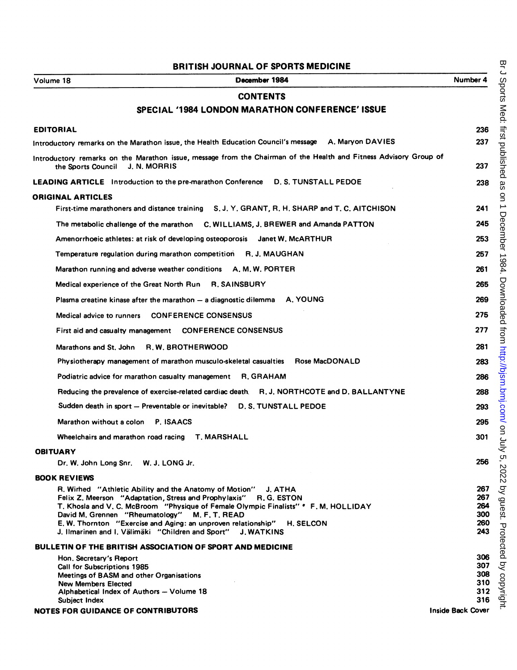## BRITISH JOURNAL OF SPORTS MEDICINE

| December 1984<br>Volume 18                                                                                                                                                                                                                                                                                                                                                                                                                       | Number 4                               |  |  |  |
|--------------------------------------------------------------------------------------------------------------------------------------------------------------------------------------------------------------------------------------------------------------------------------------------------------------------------------------------------------------------------------------------------------------------------------------------------|----------------------------------------|--|--|--|
| <b>CONTENTS</b>                                                                                                                                                                                                                                                                                                                                                                                                                                  |                                        |  |  |  |
| SPECIAL '1984 LONDON MARATHON CONFERENCE' ISSUE                                                                                                                                                                                                                                                                                                                                                                                                  |                                        |  |  |  |
| <b>EDITORIAL</b>                                                                                                                                                                                                                                                                                                                                                                                                                                 | 236                                    |  |  |  |
| Introductory remarks on the Marathon issue, the Health Education Council's message A. Maryon DAVIES                                                                                                                                                                                                                                                                                                                                              | 237                                    |  |  |  |
| Introductory remarks on the Marathon issue, message from the Chairman of the Health and Fitness Advisory Group of<br><b>J. N. MORRIS</b><br>the Sports Council                                                                                                                                                                                                                                                                                   |                                        |  |  |  |
| <b>LEADING ARTICLE</b> Introduction to the pre-marathon Conference D. S. TUNSTALL PEDOE                                                                                                                                                                                                                                                                                                                                                          | 238                                    |  |  |  |
| <b>ORIGINAL ARTICLES</b>                                                                                                                                                                                                                                                                                                                                                                                                                         |                                        |  |  |  |
| First-time marathoners and distance training S.J. Y. GRANT, R. H. SHARP and T. C. AITCHISON                                                                                                                                                                                                                                                                                                                                                      | 241                                    |  |  |  |
| The metabolic challenge of the marathon C. WILLIAMS, J. BREWER and Amanda PATTON                                                                                                                                                                                                                                                                                                                                                                 | 245                                    |  |  |  |
| Amenorrhoeic athletes: at risk of developing osteoporosis banet W. McARTHUR                                                                                                                                                                                                                                                                                                                                                                      | 253                                    |  |  |  |
| Temperature regulation during marathon competition R.J. MAUGHAN                                                                                                                                                                                                                                                                                                                                                                                  | 257                                    |  |  |  |
| Marathon running and adverse weather conditions A. M. W. PORTER                                                                                                                                                                                                                                                                                                                                                                                  | 261                                    |  |  |  |
| Medical experience of the Great North Run R. SAINSBURY                                                                                                                                                                                                                                                                                                                                                                                           | 265                                    |  |  |  |
| Plasma creatine kinase after the marathon - a diagnostic dilemma A. YOUNG                                                                                                                                                                                                                                                                                                                                                                        | 269                                    |  |  |  |
| Medical advice to runners  CONFERENCE CONSENSUS                                                                                                                                                                                                                                                                                                                                                                                                  | 275                                    |  |  |  |
| First aid and casualty management  CONFERENCE CONSENSUS                                                                                                                                                                                                                                                                                                                                                                                          | 277                                    |  |  |  |
| R.W. BROTHERWOOD<br>Marathons and St. John                                                                                                                                                                                                                                                                                                                                                                                                       | 281                                    |  |  |  |
| Physiotherapy management of marathon musculo-skeletal casualties<br>Rose MacDONALD                                                                                                                                                                                                                                                                                                                                                               | 283                                    |  |  |  |
| Podiatric advice for marathon casualty management R, GRAHAM                                                                                                                                                                                                                                                                                                                                                                                      | 286                                    |  |  |  |
| Reducing the prevalence of exercise-related cardiac death R.J. NORTHCOTE and D. BALLANTYNE                                                                                                                                                                                                                                                                                                                                                       | 288                                    |  |  |  |
| Sudden death in sport - Preventable or inevitable?<br>D. S. TUNSTALL PEDOE                                                                                                                                                                                                                                                                                                                                                                       | 293                                    |  |  |  |
| Marathon without a colon<br>P. ISAACS                                                                                                                                                                                                                                                                                                                                                                                                            | 295                                    |  |  |  |
| Wheelchairs and marathon road racing T. MARSHALL                                                                                                                                                                                                                                                                                                                                                                                                 | 301                                    |  |  |  |
| <b>OBITUARY</b>                                                                                                                                                                                                                                                                                                                                                                                                                                  |                                        |  |  |  |
| Dr. W. John Long Snr. W. J. LONG Jr.                                                                                                                                                                                                                                                                                                                                                                                                             | 256                                    |  |  |  |
| <b>BOOK REVIEWS</b>                                                                                                                                                                                                                                                                                                                                                                                                                              |                                        |  |  |  |
| R. Wirhed "Athletic Ability and the Anatomy of Motion"<br>J. ATHA<br>Felix Z. Meerson "Adaptation, Stress and Prophylaxis" R. G. ESTON<br>T. Khosla and V. C. McBroom "Physique of Female Olympic Finalists" • F. M. HOLLIDAY<br>David M. Grennen "Rheumatology"<br>M. F. T. READ<br>E. W. Thornton "Exercise and Aging: an unproven relationship"<br><b>H. SELCON</b><br>J. Ilmarinen and I. Välimäki "Children and Sport"<br><b>J. WATKINS</b> | 267<br>267<br>264<br>300<br>260<br>243 |  |  |  |
| <b>BULLETIN OF THE BRITISH ASSOCIATION OF SPORT AND MEDICINE</b>                                                                                                                                                                                                                                                                                                                                                                                 |                                        |  |  |  |
| Hon, Secretary's Report<br>Call for Subscriptions 1985<br>Meetings of BASM and other Organisations<br><b>New Members Elected</b><br>Alphabetical Index of Authors - Volume 18<br>Subject Index                                                                                                                                                                                                                                                   | 306<br>307<br>308<br>310<br>312<br>316 |  |  |  |
| <b>NOTES FOR GUIDANCE OF CONTRIBUTORS</b>                                                                                                                                                                                                                                                                                                                                                                                                        | <b>Inside Back Cover</b>               |  |  |  |